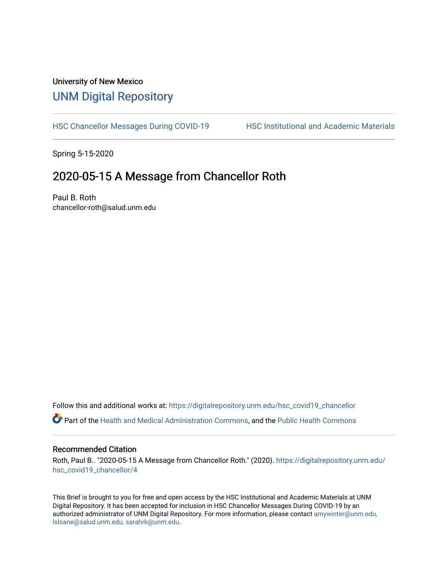# University of New Mexico [UNM Digital Repository](https://digitalrepository.unm.edu/)

[HSC Chancellor Messages During COVID-19](https://digitalrepository.unm.edu/hsc_covid19_chancellor) HSC Institutional and Academic Materials

Spring 5-15-2020

## 2020-05-15 A Message from Chancellor Roth

Paul B. Roth chancellor-roth@salud.unm.edu

Follow this and additional works at: [https://digitalrepository.unm.edu/hsc\\_covid19\\_chancellor](https://digitalrepository.unm.edu/hsc_covid19_chancellor?utm_source=digitalrepository.unm.edu%2Fhsc_covid19_chancellor%2F4&utm_medium=PDF&utm_campaign=PDFCoverPages) Part of the [Health and Medical Administration Commons](http://network.bepress.com/hgg/discipline/663?utm_source=digitalrepository.unm.edu%2Fhsc_covid19_chancellor%2F4&utm_medium=PDF&utm_campaign=PDFCoverPages), and the [Public Health Commons](http://network.bepress.com/hgg/discipline/738?utm_source=digitalrepository.unm.edu%2Fhsc_covid19_chancellor%2F4&utm_medium=PDF&utm_campaign=PDFCoverPages) 

### Recommended Citation

Roth, Paul B.. "2020-05-15 A Message from Chancellor Roth." (2020). [https://digitalrepository.unm.edu/](https://digitalrepository.unm.edu/hsc_covid19_chancellor/4?utm_source=digitalrepository.unm.edu%2Fhsc_covid19_chancellor%2F4&utm_medium=PDF&utm_campaign=PDFCoverPages) [hsc\\_covid19\\_chancellor/4](https://digitalrepository.unm.edu/hsc_covid19_chancellor/4?utm_source=digitalrepository.unm.edu%2Fhsc_covid19_chancellor%2F4&utm_medium=PDF&utm_campaign=PDFCoverPages) 

This Brief is brought to you for free and open access by the HSC Institutional and Academic Materials at UNM Digital Repository. It has been accepted for inclusion in HSC Chancellor Messages During COVID-19 by an authorized administrator of UNM Digital Repository. For more information, please contact [amywinter@unm.edu,](mailto:amywinter@unm.edu,%20lsloane@salud.unm.edu,%20sarahrk@unm.edu)  [lsloane@salud.unm.edu, sarahrk@unm.edu.](mailto:amywinter@unm.edu,%20lsloane@salud.unm.edu,%20sarahrk@unm.edu)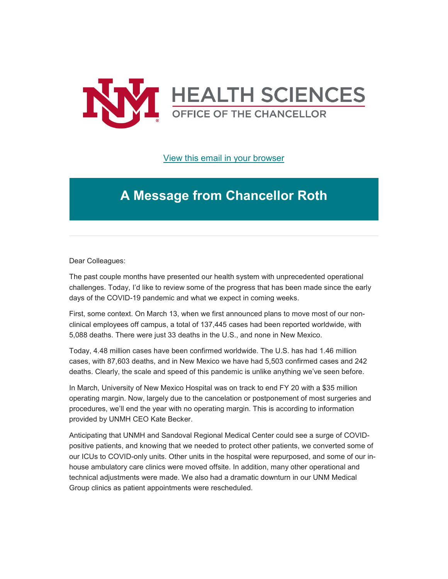

[View this email in your browser](https://mailchi.mp/e384d13c6d75/message-from-the-chancellor-coronavirus-4415772?e=b4bbfca2c0)

# **A Message from Chancellor Roth**

Dear Colleagues:

The past couple months have presented our health system with unprecedented operational challenges. Today, I'd like to review some of the progress that has been made since the early days of the COVID-19 pandemic and what we expect in coming weeks.

First, some context. On March 13, when we first announced plans to move most of our nonclinical employees off campus, a total of 137,445 cases had been reported worldwide, with 5,088 deaths. There were just 33 deaths in the U.S., and none in New Mexico.

Today, 4.48 million cases have been confirmed worldwide. The U.S. has had 1.46 million cases, with 87,603 deaths, and in New Mexico we have had 5,503 confirmed cases and 242 deaths. Clearly, the scale and speed of this pandemic is unlike anything we've seen before.

In March, University of New Mexico Hospital was on track to end FY 20 with a \$35 million operating margin. Now, largely due to the cancelation or postponement of most surgeries and procedures, we'll end the year with no operating margin. This is according to information provided by UNMH CEO Kate Becker.

Anticipating that UNMH and Sandoval Regional Medical Center could see a surge of COVIDpositive patients, and knowing that we needed to protect other patients, we converted some of our ICUs to COVID-only units. Other units in the hospital were repurposed, and some of our inhouse ambulatory care clinics were moved offsite. In addition, many other operational and technical adjustments were made. We also had a dramatic downturn in our UNM Medical Group clinics as patient appointments were rescheduled.